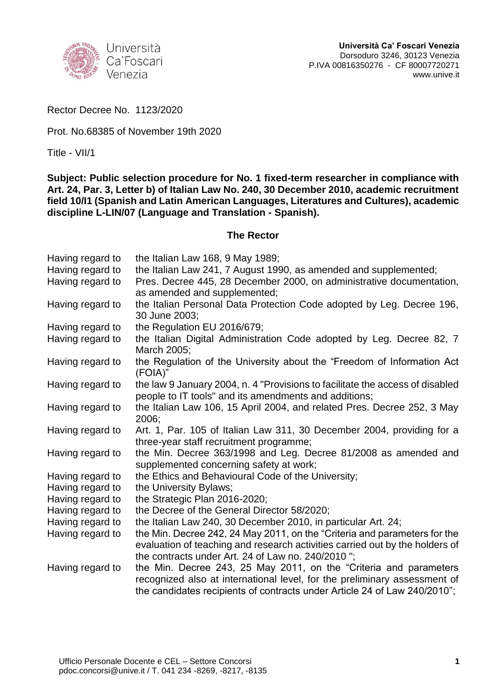

Rector Decree No. 1123/2020

Prot. No.68385 of November 19th 2020

Title - VII/1

**Subject: Public selection procedure for No. 1 fixed-term researcher in compliance with Art. 24, Par. 3, Letter b) of Italian Law No. 240, 30 December 2010, academic recruitment field 10/I1 (Spanish and Latin American Languages, Literatures and Cultures), academic discipline L-LIN/07 (Language and Translation - Spanish).**

#### **The Rector**

| Having regard to | the Italian Law 168, 9 May 1989;                                              |
|------------------|-------------------------------------------------------------------------------|
| Having regard to | the Italian Law 241, 7 August 1990, as amended and supplemented;              |
| Having regard to | Pres. Decree 445, 28 December 2000, on administrative documentation,          |
|                  | as amended and supplemented;                                                  |
| Having regard to | the Italian Personal Data Protection Code adopted by Leg. Decree 196,         |
|                  | 30 June 2003;                                                                 |
| Having regard to | the Regulation EU 2016/679;                                                   |
| Having regard to | the Italian Digital Administration Code adopted by Leg. Decree 82, 7          |
|                  | March 2005;                                                                   |
| Having regard to | the Regulation of the University about the "Freedom of Information Act        |
|                  | (FOIA)"                                                                       |
| Having regard to | the law 9 January 2004, n. 4 "Provisions to facilitate the access of disabled |
|                  | people to IT tools" and its amendments and additions;                         |
| Having regard to | the Italian Law 106, 15 April 2004, and related Pres. Decree 252, 3 May       |
|                  | 2006:                                                                         |
| Having regard to | Art. 1, Par. 105 of Italian Law 311, 30 December 2004, providing for a        |
|                  | three-year staff recruitment programme;                                       |
| Having regard to | the Min. Decree 363/1998 and Leg. Decree 81/2008 as amended and               |
|                  | supplemented concerning safety at work;                                       |
| Having regard to | the Ethics and Behavioural Code of the University;                            |
| Having regard to | the University Bylaws;                                                        |
| Having regard to | the Strategic Plan 2016-2020;                                                 |
| Having regard to | the Decree of the General Director 58/2020;                                   |
| Having regard to | the Italian Law 240, 30 December 2010, in particular Art. 24;                 |
| Having regard to | the Min. Decree 242, 24 May 2011, on the "Criteria and parameters for the     |
|                  | evaluation of teaching and research activities carried out by the holders of  |
|                  | the contracts under Art. 24 of Law no. 240/2010":                             |
| Having regard to | the Min. Decree 243, 25 May 2011, on the "Criteria and parameters             |
|                  | recognized also at international level, for the preliminary assessment of     |
|                  | the candidates recipients of contracts under Article 24 of Law 240/2010";     |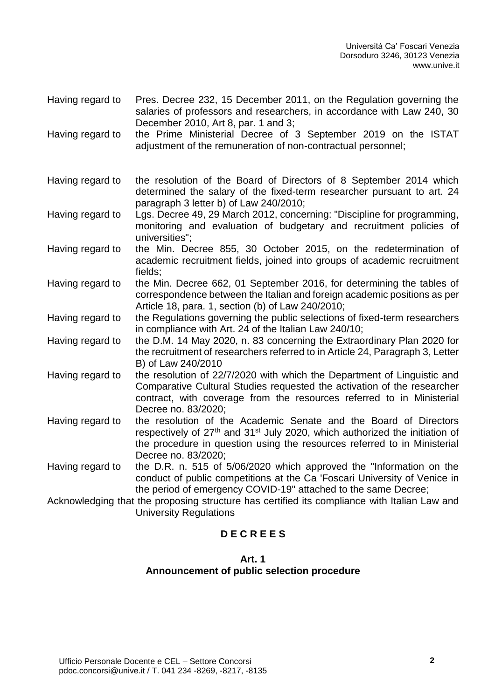- Having regard to Pres. Decree 232, 15 December 2011, on the Regulation governing the salaries of professors and researchers, in accordance with Law 240, 30 December 2010, Art 8, par. 1 and 3;
- Having regard to the Prime Ministerial Decree of 3 September 2019 on the ISTAT adjustment of the remuneration of non-contractual personnel;
- Having regard to the resolution of the Board of Directors of 8 September 2014 which determined the salary of the fixed-term researcher pursuant to art. 24 paragraph 3 letter b) of Law 240/2010;
- Having regard to Lgs. Decree 49, 29 March 2012, concerning: "Discipline for programming, monitoring and evaluation of budgetary and recruitment policies of universities";
- Having regard to the Min. Decree 855, 30 October 2015, on the redetermination of academic recruitment fields, joined into groups of academic recruitment fields;
- Having regard to the Min. Decree 662, 01 September 2016, for determining the tables of correspondence between the Italian and foreign academic positions as per Article 18, para. 1, section (b) of Law 240/2010;
- Having regard to the Regulations governing the public selections of fixed-term researchers in compliance with Art. 24 of the Italian Law 240/10;
- Having regard to the D.M. 14 May 2020, n. 83 concerning the Extraordinary Plan 2020 for the recruitment of researchers referred to in Article 24, Paragraph 3, Letter B) of Law 240/2010
- Having regard to the resolution of 22/7/2020 with which the Department of Linguistic and Comparative Cultural Studies requested the activation of the researcher contract, with coverage from the resources referred to in Ministerial Decree no. 83/2020;
- Having regard to the resolution of the Academic Senate and the Board of Directors respectively of 27<sup>th</sup> and 31<sup>st</sup> July 2020, which authorized the initiation of the procedure in question using the resources referred to in Ministerial Decree no. 83/2020;
- Having regard to the D.R. n. 515 of 5/06/2020 which approved the "Information on the conduct of public competitions at the Ca 'Foscari University of Venice in the period of emergency COVID-19" attached to the same Decree;
- Acknowledging that the proposing structure has certified its compliance with Italian Law and University Regulations

## **D E C R E E S**

#### **Art. 1**

### **Announcement of public selection procedure**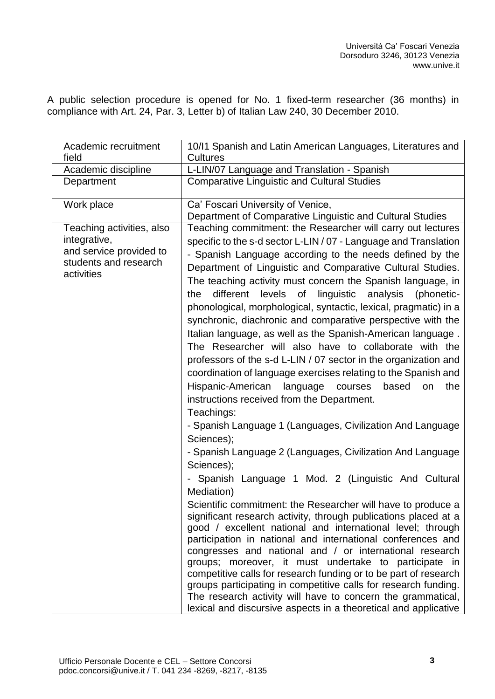A public selection procedure is opened for No. 1 fixed-term researcher (36 months) in compliance with Art. 24, Par. 3, Letter b) of Italian Law 240, 30 December 2010.

| Academic recruitment<br>field                                                                               | 10/11 Spanish and Latin American Languages, Literatures and<br><b>Cultures</b>                                                                                                                                                                                                                                                                                                                                                                                                                                                                                                                                                                                                                                                                                                                                                                                                                                                                                                                                                                                                                                                                                                                                                                                                                                                                                                                                                                                                                                                                                                                                                                                                                                                                                                                                     |
|-------------------------------------------------------------------------------------------------------------|--------------------------------------------------------------------------------------------------------------------------------------------------------------------------------------------------------------------------------------------------------------------------------------------------------------------------------------------------------------------------------------------------------------------------------------------------------------------------------------------------------------------------------------------------------------------------------------------------------------------------------------------------------------------------------------------------------------------------------------------------------------------------------------------------------------------------------------------------------------------------------------------------------------------------------------------------------------------------------------------------------------------------------------------------------------------------------------------------------------------------------------------------------------------------------------------------------------------------------------------------------------------------------------------------------------------------------------------------------------------------------------------------------------------------------------------------------------------------------------------------------------------------------------------------------------------------------------------------------------------------------------------------------------------------------------------------------------------------------------------------------------------------------------------------------------------|
| Academic discipline                                                                                         | L-LIN/07 Language and Translation - Spanish                                                                                                                                                                                                                                                                                                                                                                                                                                                                                                                                                                                                                                                                                                                                                                                                                                                                                                                                                                                                                                                                                                                                                                                                                                                                                                                                                                                                                                                                                                                                                                                                                                                                                                                                                                        |
| Department                                                                                                  | <b>Comparative Linguistic and Cultural Studies</b>                                                                                                                                                                                                                                                                                                                                                                                                                                                                                                                                                                                                                                                                                                                                                                                                                                                                                                                                                                                                                                                                                                                                                                                                                                                                                                                                                                                                                                                                                                                                                                                                                                                                                                                                                                 |
| Work place                                                                                                  | Ca' Foscari University of Venice,<br>Department of Comparative Linguistic and Cultural Studies                                                                                                                                                                                                                                                                                                                                                                                                                                                                                                                                                                                                                                                                                                                                                                                                                                                                                                                                                                                                                                                                                                                                                                                                                                                                                                                                                                                                                                                                                                                                                                                                                                                                                                                     |
| Teaching activities, also<br>integrative,<br>and service provided to<br>students and research<br>activities | Teaching commitment: the Researcher will carry out lectures<br>specific to the s-d sector L-LIN / 07 - Language and Translation<br>- Spanish Language according to the needs defined by the<br>Department of Linguistic and Comparative Cultural Studies.<br>The teaching activity must concern the Spanish language, in<br>different<br>levels of linguistic analysis<br>(phonetic-<br>the<br>phonological, morphological, syntactic, lexical, pragmatic) in a<br>synchronic, diachronic and comparative perspective with the<br>Italian language, as well as the Spanish-American language.<br>The Researcher will also have to collaborate with the<br>professors of the s-d L-LIN / 07 sector in the organization and<br>coordination of language exercises relating to the Spanish and<br>Hispanic-American<br>based<br>language<br>courses<br>the<br>on<br>instructions received from the Department.<br>Teachings:<br>- Spanish Language 1 (Languages, Civilization And Language<br>Sciences);<br>- Spanish Language 2 (Languages, Civilization And Language<br>Sciences);<br>Spanish Language 1 Mod. 2 (Linguistic And Cultural<br>Mediation)<br>Scientific commitment: the Researcher will have to produce a<br>significant research activity, through publications placed at a<br>good / excellent national and international level; through<br>participation in national and international conferences and<br>congresses and national and / or international research<br>groups; moreover, it must undertake to participate in<br>competitive calls for research funding or to be part of research<br>groups participating in competitive calls for research funding.<br>The research activity will have to concern the grammatical,<br>lexical and discursive aspects in a theoretical and applicative |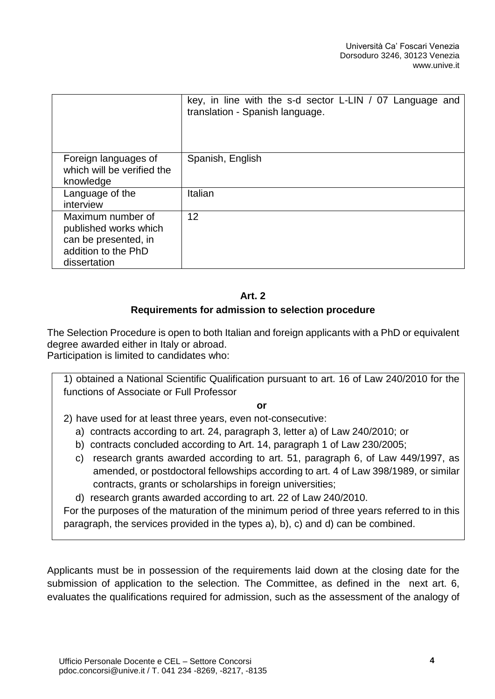|                                                                                                           | key, in line with the s-d sector L-LIN / 07 Language and<br>translation - Spanish language. |
|-----------------------------------------------------------------------------------------------------------|---------------------------------------------------------------------------------------------|
| Foreign languages of<br>which will be verified the<br>knowledge                                           | Spanish, English                                                                            |
| Language of the<br>interview                                                                              | Italian                                                                                     |
| Maximum number of<br>published works which<br>can be presented, in<br>addition to the PhD<br>dissertation | 12                                                                                          |

## **Art. 2**

## **Requirements for admission to selection procedure**

The Selection Procedure is open to both Italian and foreign applicants with a PhD or equivalent degree awarded either in Italy or abroad.

Participation is limited to candidates who:

1) obtained a National Scientific Qualification pursuant to art. 16 of Law 240/2010 for the functions of Associate or Full Professor

### **or**

2) have used for at least three years, even not-consecutive:

- a) contracts according to art. 24, paragraph 3, letter a) of Law 240/2010; or
- b) contracts concluded according to Art. 14, paragraph 1 of Law 230/2005;
- c) research grants awarded according to art. 51, paragraph 6, of Law 449/1997, as amended, or postdoctoral fellowships according to art. 4 of Law 398/1989, or similar contracts, grants or scholarships in foreign universities;
- d) research grants awarded according to art. 22 of Law 240/2010.

For the purposes of the maturation of the minimum period of three years referred to in this paragraph, the services provided in the types a), b), c) and d) can be combined.

Applicants must be in possession of the requirements laid down at the closing date for the submission of application to the selection. The Committee, as defined in the next art. 6, evaluates the qualifications required for admission, such as the assessment of the analogy of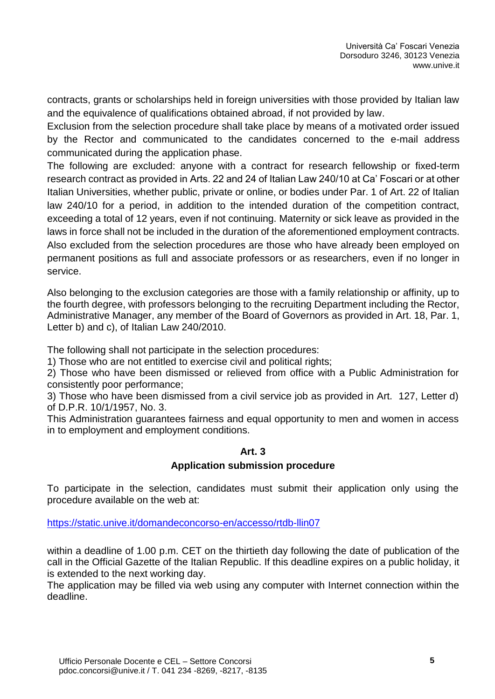contracts, grants or scholarships held in foreign universities with those provided by Italian law and the equivalence of qualifications obtained abroad, if not provided by law.

Exclusion from the selection procedure shall take place by means of a motivated order issued by the Rector and communicated to the candidates concerned to the e-mail address communicated during the application phase.

The following are excluded: anyone with a contract for research fellowship or fixed-term research contract as provided in Arts. 22 and 24 of Italian Law 240/10 at Ca' Foscari or at other Italian Universities, whether public, private or online, or bodies under Par. 1 of Art. 22 of Italian law 240/10 for a period, in addition to the intended duration of the competition contract, exceeding a total of 12 years, even if not continuing. Maternity or sick leave as provided in the laws in force shall not be included in the duration of the aforementioned employment contracts. Also excluded from the selection procedures are those who have already been employed on permanent positions as full and associate professors or as researchers, even if no longer in service.

Also belonging to the exclusion categories are those with a family relationship or affinity, up to the fourth degree, with professors belonging to the recruiting Department including the Rector, Administrative Manager, any member of the Board of Governors as provided in Art. 18, Par. 1, Letter b) and c), of Italian Law 240/2010.

The following shall not participate in the selection procedures:

1) Those who are not entitled to exercise civil and political rights;

2) Those who have been dismissed or relieved from office with a Public Administration for consistently poor performance;

3) Those who have been dismissed from a civil service job as provided in Art. 127, Letter d) of D.P.R. 10/1/1957, No. 3.

This Administration guarantees fairness and equal opportunity to men and women in access in to employment and employment conditions.

### **Art. 3**

### **Application submission procedure**

To participate in the selection, candidates must submit their application only using the procedure available on the web at:

<https://static.unive.it/domandeconcorso-en/accesso/rtdb-llin07>

within a deadline of 1.00 p.m. CET on the thirtieth day following the date of publication of the call in the Official Gazette of the Italian Republic. If this deadline expires on a public holiday, it is extended to the next working day.

The application may be filled via web using any computer with Internet connection within the deadline.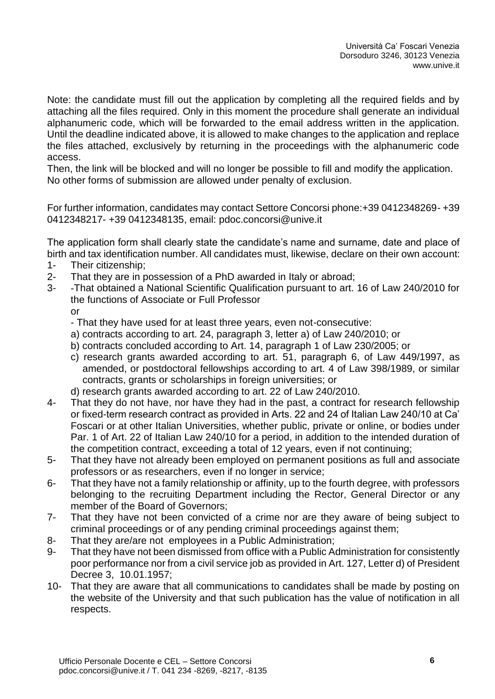Note: the candidate must fill out the application by completing all the required fields and by attaching all the files required. Only in this moment the procedure shall generate an individual alphanumeric code, which will be forwarded to the email address written in the application. Until the deadline indicated above, it is allowed to make changes to the application and replace the files attached, exclusively by returning in the proceedings with the alphanumeric code access.

Then, the link will be blocked and will no longer be possible to fill and modify the application. No other forms of submission are allowed under penalty of exclusion.

For further information, candidates may contact Settore Concorsi phone:+39 0412348269- +39 0412348217- +39 0412348135, email: [pdoc.concorsi@unive.it](mailto:pdoc.concorsi@unive.it)

The application form shall clearly state the candidate's name and surname, date and place of birth and tax identification number. All candidates must, likewise, declare on their own account:

- 1- Their citizenship;
- 2- That they are in possession of a PhD awarded in Italy or abroad;
- 3- -That obtained a National Scientific Qualification pursuant to art. 16 of Law 240/2010 for the functions of Associate or Full Professor or
	- That they have used for at least three years, even not-consecutive:
	- a) contracts according to art. 24, paragraph 3, letter a) of Law 240/2010; or
	- b) contracts concluded according to Art. 14, paragraph 1 of Law 230/2005; or
	- c) research grants awarded according to art. 51, paragraph 6, of Law 449/1997, as amended, or postdoctoral fellowships according to art. 4 of Law 398/1989, or similar contracts, grants or scholarships in foreign universities; or
	- d) research grants awarded according to art. 22 of Law 240/2010.
- 4- That they do not have, nor have they had in the past, a contract for research fellowship or fixed-term research contract as provided in Arts. 22 and 24 of Italian Law 240/10 at Ca' Foscari or at other Italian Universities, whether public, private or online, or bodies under Par. 1 of Art. 22 of Italian Law 240/10 for a period, in addition to the intended duration of the competition contract, exceeding a total of 12 years, even if not continuing;
- 5- That they have not already been employed on permanent positions as full and associate professors or as researchers, even if no longer in service;
- 6- That they have not a family relationship or affinity, up to the fourth degree, with professors belonging to the recruiting Department including the Rector, General Director or any member of the Board of Governors;
- 7- That they have not been convicted of a crime nor are they aware of being subject to criminal proceedings or of any pending criminal proceedings against them;
- 8- That they are/are not employees in a Public Administration;
- 9- That they have not been dismissed from office with a Public Administration for consistently poor performance nor from a civil service job as provided in Art. 127, Letter d) of President Decree 3, 10.01.1957;
- 10- That they are aware that all communications to candidates shall be made by posting on the website of the University and that such publication has the value of notification in all respects.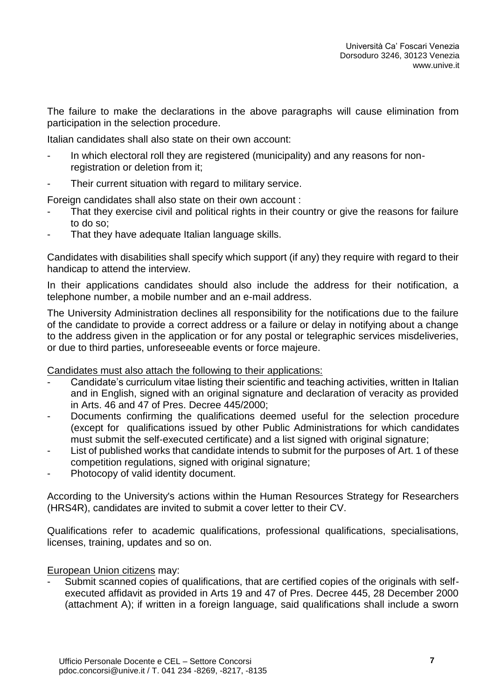The failure to make the declarations in the above paragraphs will cause elimination from participation in the selection procedure.

Italian candidates shall also state on their own account:

- In which electoral roll they are registered (municipality) and any reasons for nonregistration or deletion from it;
- Their current situation with regard to military service.

Foreign candidates shall also state on their own account :

- That they exercise civil and political rights in their country or give the reasons for failure to do so;
- That they have adequate Italian language skills.

Candidates with disabilities shall specify which support (if any) they require with regard to their handicap to attend the interview.

In their applications candidates should also include the address for their notification, a telephone number, a mobile number and an e-mail address.

The University Administration declines all responsibility for the notifications due to the failure of the candidate to provide a correct address or a failure or delay in notifying about a change to the address given in the application or for any postal or telegraphic services misdeliveries, or due to third parties, unforeseeable events or force majeure.

Candidates must also attach the following to their applications:

- Candidate's curriculum vitae listing their scientific and teaching activities, written in Italian and in English, signed with an original signature and declaration of veracity as provided in Arts. 46 and 47 of Pres. Decree 445/2000;
- Documents confirming the qualifications deemed useful for the selection procedure (except for qualifications issued by other Public Administrations for which candidates must submit the self-executed certificate) and a list signed with original signature;
- List of published works that candidate intends to submit for the purposes of Art. 1 of these competition regulations, signed with original signature;
- Photocopy of valid identity document.

According to the University's actions within the Human Resources Strategy for Researchers (HRS4R), candidates are invited to submit a cover letter to their CV.

Qualifications refer to academic qualifications, professional qualifications, specialisations, licenses, training, updates and so on.

### European Union citizens may:

- Submit scanned copies of qualifications, that are certified copies of the originals with selfexecuted affidavit as provided in Arts 19 and 47 of Pres. Decree 445, 28 December 2000 (attachment A); if written in a foreign language, said qualifications shall include a sworn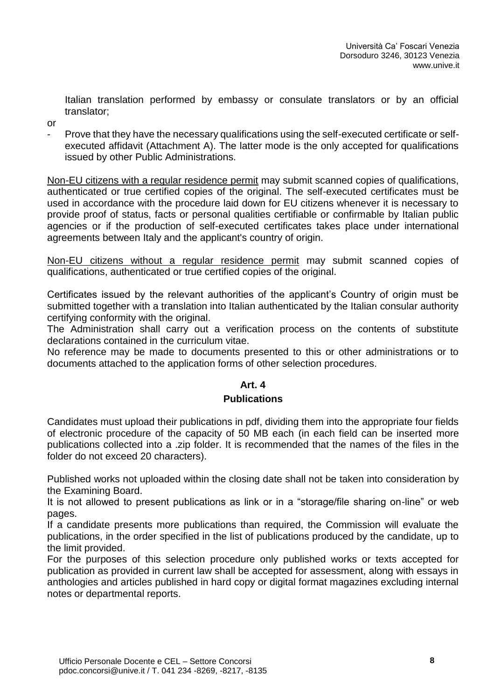Italian translation performed by embassy or consulate translators or by an official translator;

- or
- Prove that they have the necessary qualifications using the self-executed certificate or selfexecuted affidavit (Attachment A). The latter mode is the only accepted for qualifications issued by other Public Administrations.

Non-EU citizens with a regular residence permit may submit scanned copies of qualifications, authenticated or true certified copies of the original. The self-executed certificates must be used in accordance with the procedure laid down for EU citizens whenever it is necessary to provide proof of status, facts or personal qualities certifiable or confirmable by Italian public agencies or if the production of self-executed certificates takes place under international agreements between Italy and the applicant's country of origin.

Non-EU citizens without a regular residence permit may submit scanned copies of qualifications, authenticated or true certified copies of the original.

Certificates issued by the relevant authorities of the applicant's Country of origin must be submitted together with a translation into Italian authenticated by the Italian consular authority certifying conformity with the original.

The Administration shall carry out a verification process on the contents of substitute declarations contained in the curriculum vitae.

No reference may be made to documents presented to this or other administrations or to documents attached to the application forms of other selection procedures.

# **Art. 4**

## **Publications**

Candidates must upload their publications in pdf, dividing them into the appropriate four fields of electronic procedure of the capacity of 50 MB each (in each field can be inserted more publications collected into a .zip folder. It is recommended that the names of the files in the folder do not exceed 20 characters).

Published works not uploaded within the closing date shall not be taken into consideration by the Examining Board.

It is not allowed to present publications as link or in a "storage/file sharing on-line" or web pages.

If a candidate presents more publications than required, the Commission will evaluate the publications, in the order specified in the list of publications produced by the candidate, up to the limit provided.

For the purposes of this selection procedure only published works or texts accepted for publication as provided in current law shall be accepted for assessment, along with essays in anthologies and articles published in hard copy or digital format magazines excluding internal notes or departmental reports.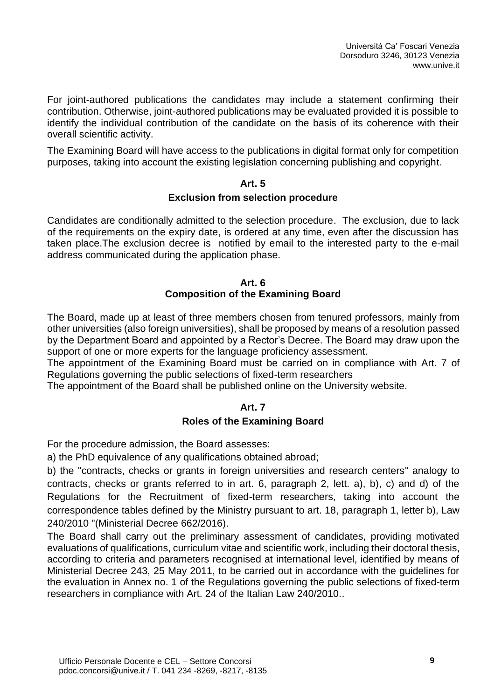For joint-authored publications the candidates may include a statement confirming their contribution. Otherwise, joint-authored publications may be evaluated provided it is possible to identify the individual contribution of the candidate on the basis of its coherence with their overall scientific activity.

The Examining Board will have access to the publications in digital format only for competition purposes, taking into account the existing legislation concerning publishing and copyright.

#### **Art. 5**

#### **Exclusion from selection procedure**

Candidates are conditionally admitted to the selection procedure. The exclusion, due to lack of the requirements on the expiry date, is ordered at any time, even after the discussion has taken place.The exclusion decree is notified by email to the interested party to the e-mail address communicated during the application phase.

#### **Art. 6 Composition of the Examining Board**

The Board, made up at least of three members chosen from tenured professors, mainly from other universities (also foreign universities), shall be proposed by means of a resolution passed by the Department Board and appointed by a Rector's Decree. The Board may draw upon the support of one or more experts for the language proficiency assessment.

The appointment of the Examining Board must be carried on in compliance with Art. 7 of Regulations governing the public selections of fixed-term researchers

The appointment of the Board shall be published online on the University website.

## **Art. 7 Roles of the Examining Board**

For the procedure admission, the Board assesses:

a) the PhD equivalence of any qualifications obtained abroad;

b) the "contracts, checks or grants in foreign universities and research centers" analogy to contracts, checks or grants referred to in art. 6, paragraph 2, lett. a), b), c) and d) of the Regulations for the Recruitment of fixed-term researchers, taking into account the correspondence tables defined by the Ministry pursuant to art. 18, paragraph 1, letter b), Law 240/2010 "(Ministerial Decree 662/2016).

The Board shall carry out the preliminary assessment of candidates, providing motivated evaluations of qualifications, curriculum vitae and scientific work, including their doctoral thesis, according to criteria and parameters recognised at international level, identified by means of Ministerial Decree 243, 25 May 2011, to be carried out in accordance with the guidelines for the evaluation in Annex no. 1 of the Regulations governing the public selections of fixed-term researchers in compliance with Art. 24 of the Italian Law 240/2010..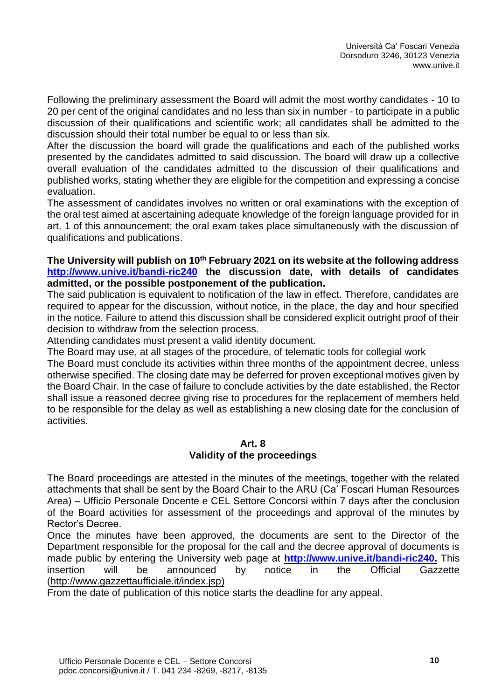Following the preliminary assessment the Board will admit the most worthy candidates - 10 to 20 per cent of the original candidates and no less than six in number - to participate in a public discussion of their qualifications and scientific work; all candidates shall be admitted to the discussion should their total number be equal to or less than six.

After the discussion the board will grade the qualifications and each of the published works presented by the candidates admitted to said discussion. The board will draw up a collective overall evaluation of the candidates admitted to the discussion of their qualifications and published works, stating whether they are eligible for the competition and expressing a concise evaluation.

The assessment of candidates involves no written or oral examinations with the exception of the oral test aimed at ascertaining adequate knowledge of the foreign language provided for in art. 1 of this announcement; the oral exam takes place simultaneously with the discussion of qualifications and publications.

#### **The University will publish on 10 th February 2021 on its website at the following address <http://www.unive.it/bandi-ric240> the discussion date, with details of candidates admitted, or the possible postponement of the publication.**

The said publication is equivalent to notification of the law in effect. Therefore, candidates are required to appear for the discussion, without notice, in the place, the day and hour specified in the notice. Failure to attend this discussion shall be considered explicit outright proof of their decision to withdraw from the selection process.

Attending candidates must present a valid identity document.

The Board may use, at all stages of the procedure, of telematic tools for collegial work

The Board must conclude its activities within three months of the appointment decree, unless otherwise specified. The closing date may be deferred for proven exceptional motives given by the Board Chair. In the case of failure to conclude activities by the date established, the Rector shall issue a reasoned decree giving rise to procedures for the replacement of members held to be responsible for the delay as well as establishing a new closing date for the conclusion of activities.

#### **Art. 8 Validity of the proceedings**

The Board proceedings are attested in the minutes of the meetings, together with the related attachments that shall be sent by the Board Chair to the ARU (Ca' Foscari Human Resources Area) – Ufficio Personale Docente e CEL Settore Concorsi within 7 days after the conclusion of the Board activities for assessment of the proceedings and approval of the minutes by Rector's Decree.

Once the minutes have been approved, the documents are sent to the Director of the Department responsible for the proposal for the call and the decree approval of documents is made public by entering the University web page at **[http://www.unive.it/bandi-ric240.](http://www.unive.it/bandi-ric240)** This insertion will be announced by notice in the Official Gazzette [\(http://www.gazzettaufficiale.it/index.jsp\)](http://www.gazzettaufficiale.it/index.jsp)

From the date of publication of this notice starts the deadline for any appeal.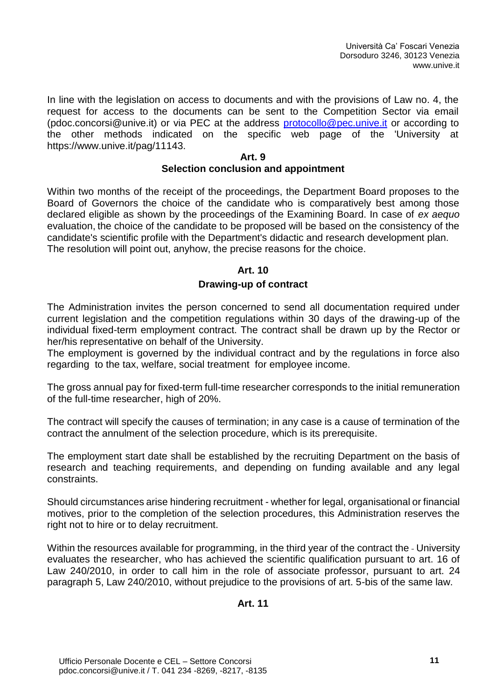In line with the legislation on access to documents and with the provisions of Law no. 4, the request for access to the documents can be sent to the Competition Sector via email (pdoc.concorsi@unive.it) or via PEC at the address [protocollo@pec.unive.it](mailto:protocollo@pec.unive.it) or according to the other methods indicated on the specific web page of the 'University at https://www.unive.it/pag/11143.

### **Art. 9 Selection conclusion and appointment**

Within two months of the receipt of the proceedings, the Department Board proposes to the Board of Governors the choice of the candidate who is comparatively best among those declared eligible as shown by the proceedings of the Examining Board. In case of *ex aequo* evaluation, the choice of the candidate to be proposed will be based on the consistency of the candidate's scientific profile with the Department's didactic and research development plan. The resolution will point out, anyhow, the precise reasons for the choice.

## **Art. 10**

## **Drawing-up of contract**

The Administration invites the person concerned to send all documentation required under current legislation and the competition regulations within 30 days of the drawing-up of the individual fixed-term employment contract. The contract shall be drawn up by the Rector or her/his representative on behalf of the University.

The employment is governed by the individual contract and by the regulations in force also regarding to the tax, welfare, social treatment for employee income.

The gross annual pay for fixed-term full-time researcher corresponds to the initial remuneration of the full-time researcher, high of 20%.

The contract will specify the causes of termination; in any case is a cause of termination of the contract the annulment of the selection procedure, which is its prerequisite.

The employment start date shall be established by the recruiting Department on the basis of research and teaching requirements, and depending on funding available and any legal constraints.

Should circumstances arise hindering recruitment - whether for legal, organisational or financial motives, prior to the completion of the selection procedures, this Administration reserves the right not to hire or to delay recruitment.

Within the resources available for programming, in the third year of the contract the - University evaluates the researcher, who has achieved the scientific qualification pursuant to art. 16 of Law 240/2010, in order to call him in the role of associate professor, pursuant to art. 24 paragraph 5, Law 240/2010, without prejudice to the provisions of art. 5-bis of the same law.

## **Art. 11**